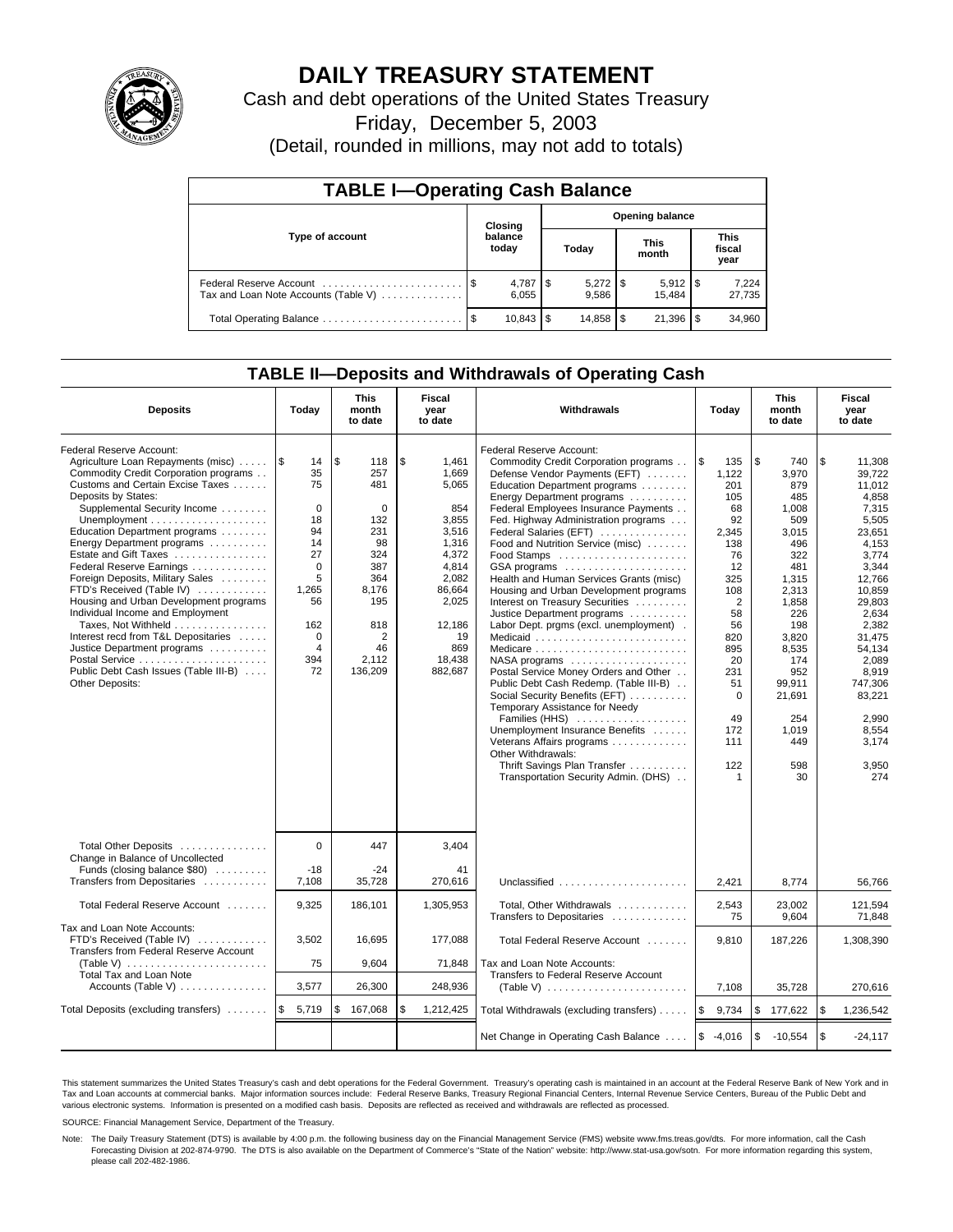

# **DAILY TREASURY STATEMENT**

Cash and debt operations of the United States Treasury

Friday, December 5, 2003

(Detail, rounded in millions, may not add to totals)

| <b>TABLE I-Operating Cash Balance</b>                           |         |                  |      |                        |  |                       |     |                               |  |  |  |
|-----------------------------------------------------------------|---------|------------------|------|------------------------|--|-----------------------|-----|-------------------------------|--|--|--|
|                                                                 | Closing |                  |      | <b>Opening balance</b> |  |                       |     |                               |  |  |  |
| Type of account                                                 |         | balance<br>today |      | Today                  |  | <b>This</b><br>month  |     | <b>This</b><br>fiscal<br>year |  |  |  |
| Federal Reserve Account<br>Tax and Loan Note Accounts (Table V) |         | 6,055            |      | 9.586                  |  | $5,912$ \\$<br>15.484 |     | 7,224<br>27,735               |  |  |  |
| Total Operating Balance                                         |         | 10,843           | l \$ | 14,858 \$              |  | 21,396                | 1\$ | 34,960                        |  |  |  |

## **TABLE II—Deposits and Withdrawals of Operating Cash**

| <b>Deposits</b>                                                                                                                                                                                                                                                                                                                                                                                                                                                                                                                                                                                                                       | Today                                                                                                                          | <b>This</b><br>month<br>to date                                                                                                                 | Fiscal<br>year<br>to date                                                                                                                                 | Withdrawals                                                                                                                                                                                                                                                                                                                                                                                                                                                                                                                                                                                                                                                                                                                                                                                                                                                                                                                                      | Today                                                                                                                                                                                                        | <b>This</b><br>month<br>to date                                                                                                                                                                                 | Fiscal<br>year<br>to date                                                                                                                                                                                                                              |
|---------------------------------------------------------------------------------------------------------------------------------------------------------------------------------------------------------------------------------------------------------------------------------------------------------------------------------------------------------------------------------------------------------------------------------------------------------------------------------------------------------------------------------------------------------------------------------------------------------------------------------------|--------------------------------------------------------------------------------------------------------------------------------|-------------------------------------------------------------------------------------------------------------------------------------------------|-----------------------------------------------------------------------------------------------------------------------------------------------------------|--------------------------------------------------------------------------------------------------------------------------------------------------------------------------------------------------------------------------------------------------------------------------------------------------------------------------------------------------------------------------------------------------------------------------------------------------------------------------------------------------------------------------------------------------------------------------------------------------------------------------------------------------------------------------------------------------------------------------------------------------------------------------------------------------------------------------------------------------------------------------------------------------------------------------------------------------|--------------------------------------------------------------------------------------------------------------------------------------------------------------------------------------------------------------|-----------------------------------------------------------------------------------------------------------------------------------------------------------------------------------------------------------------|--------------------------------------------------------------------------------------------------------------------------------------------------------------------------------------------------------------------------------------------------------|
| Federal Reserve Account:<br>Agriculture Loan Repayments (misc)<br>Commodity Credit Corporation programs<br>Customs and Certain Excise Taxes<br>Deposits by States:<br>Supplemental Security Income<br>Education Department programs<br>Energy Department programs<br>Estate and Gift Taxes<br>Federal Reserve Earnings<br>Foreign Deposits, Military Sales<br>FTD's Received (Table IV)<br>Housing and Urban Development programs<br>Individual Income and Employment<br>Taxes, Not Withheld<br>Interest recd from T&L Depositaries<br>Justice Department programs<br>Public Debt Cash Issues (Table III-B)<br><b>Other Deposits:</b> | 1\$<br>14<br>35<br>75<br>$\Omega$<br>18<br>94<br>14<br>27<br>$\Omega$<br>5<br>1,265<br>56<br>162<br>$\Omega$<br>4<br>394<br>72 | \$<br>118<br>257<br>481<br>$\Omega$<br>132<br>231<br>98<br>324<br>387<br>364<br>8,176<br>195<br>818<br>$\overline{2}$<br>46<br>2,112<br>136,209 | \$<br>1.461<br>1,669<br>5,065<br>854<br>3,855<br>3,516<br>1,316<br>4,372<br>4,814<br>2,082<br>86,664<br>2,025<br>12,186<br>19<br>869<br>18,438<br>882,687 | Federal Reserve Account:<br>Commodity Credit Corporation programs<br>Defense Vendor Payments (EFT)<br>Education Department programs<br>Energy Department programs<br>Federal Employees Insurance Payments<br>Fed. Highway Administration programs<br>Federal Salaries (EFT)<br>Food and Nutrition Service (misc)<br>Food Stamps<br>GSA programs<br>Health and Human Services Grants (misc)<br>Housing and Urban Development programs<br>Interest on Treasury Securities<br>Justice Department programs<br>Labor Dept. prgms (excl. unemployment).<br>$NASA$ programs $\ldots \ldots \ldots \ldots \ldots$<br>Postal Service Money Orders and Other<br>Public Debt Cash Redemp. (Table III-B)<br>Social Security Benefits (EFT)<br>Temporary Assistance for Needy<br>Families (HHS)<br>Unemployment Insurance Benefits<br>Veterans Affairs programs<br>Other Withdrawals:<br>Thrift Savings Plan Transfer<br>Transportation Security Admin. (DHS) | $\sqrt{3}$<br>135<br>1,122<br>201<br>105<br>68<br>92<br>2,345<br>138<br>76<br>12<br>325<br>108<br>$\overline{2}$<br>58<br>56<br>820<br>895<br>20<br>231<br>51<br>$\mathbf 0$<br>49<br>172<br>111<br>122<br>1 | \$<br>740<br>3,970<br>879<br>485<br>1,008<br>509<br>3.015<br>496<br>322<br>481<br>1,315<br>2,313<br>1,858<br>226<br>198<br>3,820<br>8,535<br>174<br>952<br>99,911<br>21,691<br>254<br>1.019<br>449<br>598<br>30 | \$<br>11,308<br>39,722<br>11,012<br>4.858<br>7,315<br>5,505<br>23.651<br>4,153<br>3,774<br>3,344<br>12,766<br>10,859<br>29.803<br>2.634<br>2.382<br>31.475<br>54,134<br>2.089<br>8,919<br>747,306<br>83,221<br>2.990<br>8,554<br>3.174<br>3,950<br>274 |
| Total Other Deposits<br>Change in Balance of Uncollected<br>Funds (closing balance \$80)                                                                                                                                                                                                                                                                                                                                                                                                                                                                                                                                              | $\Omega$<br>$-18$                                                                                                              | 447<br>$-24$                                                                                                                                    | 3.404<br>41                                                                                                                                               |                                                                                                                                                                                                                                                                                                                                                                                                                                                                                                                                                                                                                                                                                                                                                                                                                                                                                                                                                  |                                                                                                                                                                                                              |                                                                                                                                                                                                                 |                                                                                                                                                                                                                                                        |
| Transfers from Depositaries                                                                                                                                                                                                                                                                                                                                                                                                                                                                                                                                                                                                           | 7,108                                                                                                                          | 35,728                                                                                                                                          | 270,616                                                                                                                                                   | Unclassified                                                                                                                                                                                                                                                                                                                                                                                                                                                                                                                                                                                                                                                                                                                                                                                                                                                                                                                                     | 2,421                                                                                                                                                                                                        | 8,774                                                                                                                                                                                                           | 56,766                                                                                                                                                                                                                                                 |
| Total Federal Reserve Account                                                                                                                                                                                                                                                                                                                                                                                                                                                                                                                                                                                                         | 9,325                                                                                                                          | 186,101                                                                                                                                         | 1,305,953                                                                                                                                                 | Total, Other Withdrawals<br>Transfers to Depositaries                                                                                                                                                                                                                                                                                                                                                                                                                                                                                                                                                                                                                                                                                                                                                                                                                                                                                            | 2,543<br>75                                                                                                                                                                                                  | 23,002<br>9,604                                                                                                                                                                                                 | 121,594<br>71,848                                                                                                                                                                                                                                      |
| Tax and Loan Note Accounts:<br>FTD's Received (Table IV)<br>Transfers from Federal Reserve Account<br>(Table V) $\ldots \ldots \ldots \ldots \ldots \ldots \ldots$                                                                                                                                                                                                                                                                                                                                                                                                                                                                    | 3,502<br>75                                                                                                                    | 16.695<br>9,604                                                                                                                                 | 177,088<br>71,848                                                                                                                                         | Total Federal Reserve Account<br>Tax and Loan Note Accounts:                                                                                                                                                                                                                                                                                                                                                                                                                                                                                                                                                                                                                                                                                                                                                                                                                                                                                     | 9,810                                                                                                                                                                                                        | 187,226                                                                                                                                                                                                         | 1,308,390                                                                                                                                                                                                                                              |
| Total Tax and Loan Note<br>Accounts (Table V)                                                                                                                                                                                                                                                                                                                                                                                                                                                                                                                                                                                         | 3,577                                                                                                                          | 26,300                                                                                                                                          | 248,936                                                                                                                                                   | Transfers to Federal Reserve Account                                                                                                                                                                                                                                                                                                                                                                                                                                                                                                                                                                                                                                                                                                                                                                                                                                                                                                             | 7,108                                                                                                                                                                                                        | 35,728                                                                                                                                                                                                          | 270,616                                                                                                                                                                                                                                                |
| Total Deposits (excluding transfers)                                                                                                                                                                                                                                                                                                                                                                                                                                                                                                                                                                                                  | <b>S</b><br>5,719                                                                                                              | \$<br>167,068                                                                                                                                   | \$<br>1,212,425                                                                                                                                           | Total Withdrawals (excluding transfers)                                                                                                                                                                                                                                                                                                                                                                                                                                                                                                                                                                                                                                                                                                                                                                                                                                                                                                          | $\sqrt{3}$<br>9,734                                                                                                                                                                                          | $\sqrt{3}$<br>177,622                                                                                                                                                                                           | \$<br>1,236,542                                                                                                                                                                                                                                        |
|                                                                                                                                                                                                                                                                                                                                                                                                                                                                                                                                                                                                                                       |                                                                                                                                |                                                                                                                                                 |                                                                                                                                                           | Net Change in Operating Cash Balance                                                                                                                                                                                                                                                                                                                                                                                                                                                                                                                                                                                                                                                                                                                                                                                                                                                                                                             | $\sqrt{3}$<br>-4,016                                                                                                                                                                                         | <b>S</b><br>$-10,554$                                                                                                                                                                                           | $\mathfrak s$<br>$-24,117$                                                                                                                                                                                                                             |

This statement summarizes the United States Treasury's cash and debt operations for the Federal Government. Treasury's operating cash is maintained in an account at the Federal Reserve Bank of New York and in Tax and Loan accounts at commercial banks. Major information sources include: Federal Reserve Banks, Treasury Regional Financial Centers, Internal Revenue Service Centers, Bureau of the Public Debt and<br>various electronic s

SOURCE: Financial Management Service, Department of the Treasury.

Note: The Daily Treasury Statement (DTS) is available by 4:00 p.m. the following business day on the Financial Management Service (FMS) website www.fms.treas.gov/dts. For more information, call the Cash Forecasting Division at 202-874-9790. The DTS is also available on the Department of Commerce's "State of the Nation" website: http://www.stat-usa.gov/sotn. For more information regarding this system, please call 202-482-1986.